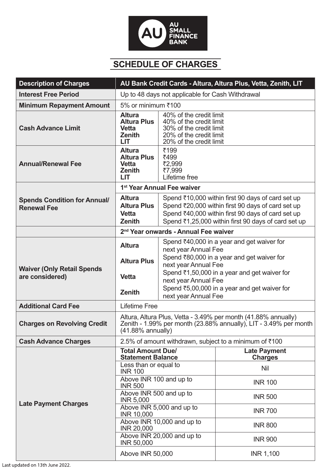

## **SCHEDULE OF CHARGES**

| <b>Description of Charges</b>                             | AU Bank Credit Cards - Altura, Altura Plus, Vetta, Zenith, LIT                                                                                              |                                                                                                                                                                                                                                                                                          |                                       |
|-----------------------------------------------------------|-------------------------------------------------------------------------------------------------------------------------------------------------------------|------------------------------------------------------------------------------------------------------------------------------------------------------------------------------------------------------------------------------------------------------------------------------------------|---------------------------------------|
| <b>Interest Free Period</b>                               | Up to 48 days not applicable for Cash Withdrawal                                                                                                            |                                                                                                                                                                                                                                                                                          |                                       |
| <b>Minimum Repayment Amount</b>                           | 5% or minimum ₹100                                                                                                                                          |                                                                                                                                                                                                                                                                                          |                                       |
| <b>Cash Advance Limit</b>                                 | <b>Altura</b><br><b>Altura Plus</b><br><b>Vetta</b><br><b>Zenith</b><br>LIT                                                                                 | 40% of the credit limit<br>40% of the credit limit<br>30% of the credit limit<br>20% of the credit limit<br>20% of the credit limit                                                                                                                                                      |                                       |
| <b>Annual/Renewal Fee</b>                                 | <b>Altura</b><br><b>Altura Plus</b><br><b>Vetta</b><br><b>Zenith</b><br>LIT                                                                                 | ₹199<br>₹499<br>₹2,999<br>₹7,999<br>Lifetime free                                                                                                                                                                                                                                        |                                       |
|                                                           | 1 <sup>st</sup> Year Annual Fee waiver                                                                                                                      |                                                                                                                                                                                                                                                                                          |                                       |
| <b>Spends Condition for Annual/</b><br><b>Renewal Fee</b> | <b>Altura</b><br><b>Altura Plus</b><br><b>Vetta</b><br><b>Zenith</b>                                                                                        | Spend ₹10,000 within first 90 days of card set up<br>Spend ₹20,000 within first 90 days of card set up<br>Spend ₹40,000 within first 90 days of card set up<br>Spend ₹1,25,000 within first 90 days of card set up                                                                       |                                       |
|                                                           | 2 <sup>nd</sup> Year onwards - Annual Fee waiver                                                                                                            |                                                                                                                                                                                                                                                                                          |                                       |
| <b>Waiver (Only Retail Spends</b><br>are considered)      | <b>Altura</b><br><b>Altura Plus</b><br><b>Vetta</b><br><b>Zenith</b>                                                                                        | Spend ₹40,000 in a year and get waiver for<br>next year Annual Fee<br>Spend ₹80,000 in a year and get waiver for<br>next year Annual Fee<br>Spend ₹1,50,000 in a year and get waiver for<br>next year Annual Fee<br>Spend ₹5,00,000 in a year and get waiver for<br>next year Annual Fee |                                       |
| <b>Additional Card Fee</b>                                | <b>Lifetime Free</b>                                                                                                                                        |                                                                                                                                                                                                                                                                                          |                                       |
| <b>Charges on Revolving Credit</b>                        | Altura, Altura Plus, Vetta - 3.49% per month (41.88% annually)<br>Zenith - 1.99% per month (23.88% annually), LIT - 3.49% per month<br>$(41.88\%$ annually) |                                                                                                                                                                                                                                                                                          |                                       |
| <b>Cash Advance Charges</b>                               | 2.5% of amount withdrawn, subject to a minimum of ₹100                                                                                                      |                                                                                                                                                                                                                                                                                          |                                       |
| <b>Late Payment Charges</b>                               | <b>Total Amount Due/</b><br><b>Statement Balance</b>                                                                                                        |                                                                                                                                                                                                                                                                                          | <b>Late Payment</b><br><b>Charges</b> |
|                                                           | Less than or equal to<br><b>INR 100</b>                                                                                                                     |                                                                                                                                                                                                                                                                                          | <b>Nil</b>                            |
|                                                           | Above INR 100 and up to<br><b>INR 500</b>                                                                                                                   |                                                                                                                                                                                                                                                                                          | <b>INR 100</b>                        |
|                                                           | Above INR 500 and up to<br><b>INR 5,000</b>                                                                                                                 |                                                                                                                                                                                                                                                                                          | <b>INR 500</b>                        |
|                                                           | <b>INR 10,000</b>                                                                                                                                           | Above INR 5,000 and up to                                                                                                                                                                                                                                                                | <b>INR 700</b>                        |
|                                                           | <b>INR 20,000</b>                                                                                                                                           | Above INR 10,000 and up to                                                                                                                                                                                                                                                               | <b>INR 800</b>                        |
|                                                           | <b>INR 50,000</b>                                                                                                                                           | Above INR 20,000 and up to                                                                                                                                                                                                                                                               | <b>INR 900</b>                        |
|                                                           | Above INR 50,000                                                                                                                                            |                                                                                                                                                                                                                                                                                          | <b>INR 1,100</b>                      |

Last updated on 13th June 2022.